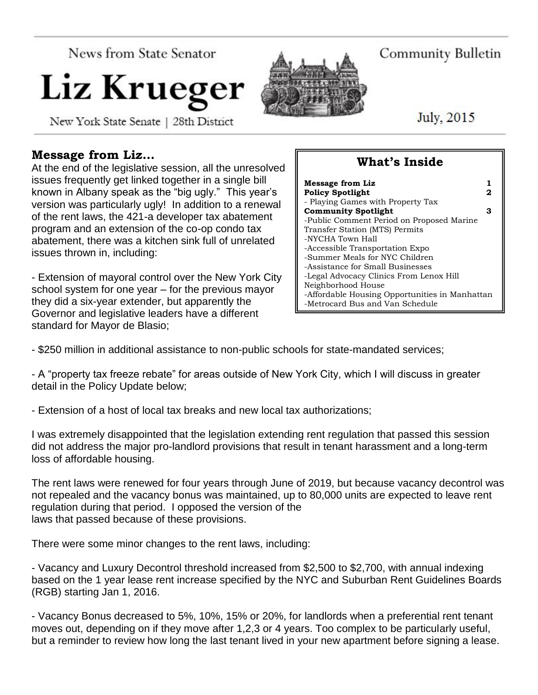News from State Senator

# Liz Krueger

New York State Senate | 28th District

## **Message from Liz…**

At the end of the legislative session, all the unresolved issues frequently get linked together in a single bill known in Albany speak as the "big ugly." This year's version was particularly ugly! In addition to a renewal of the rent laws, the 421-a developer tax abatement program and an extension of the co-op condo tax abatement, there was a kitchen sink full of unrelated issues thrown in, including:

- Extension of mayoral control over the New York City school system for one year – for the previous mayor they did a six-year extender, but apparently the Governor and legislative leaders have a different standard for Mayor de Blasio;

# **What's Inside**

| <b>Message from Liz</b>                        |   |
|------------------------------------------------|---|
| <b>Policy Spotlight</b>                        | 2 |
| - Playing Games with Property Tax              |   |
| <b>Community Spotlight</b>                     | з |
| -Public Comment Period on Proposed Marine      |   |
| Transfer Station (MTS) Permits                 |   |
| -NYCHA Town Hall                               |   |
| -Accessible Transportation Expo                |   |
| -Summer Meals for NYC Children                 |   |
| -Assistance for Small Businesses               |   |
| -Legal Advocacy Clinics From Lenox Hill        |   |
| Neighborhood House                             |   |
| -Affordable Housing Opportunities in Manhattan |   |
| -Metrocard Bus and Van Schedule                |   |

- \$250 million in additional assistance to non-public schools for state-mandated services;

- A "property tax freeze rebate" for areas outside of New York City, which I will discuss in greater detail in the Policy Update below;

- Extension of a host of local tax breaks and new local tax authorizations;

I was extremely disappointed that the legislation extending rent regulation that passed this session did not address the major pro-landlord provisions that result in tenant harassment and a long-term loss of affordable housing.

The rent laws were renewed for four years through June of 2019, but because vacancy decontrol was not repealed and the vacancy bonus was maintained, up to 80,000 units are expected to leave rent regulation during that period. I opposed the version of the laws that passed because of these provisions.

There were some minor changes to the rent laws, including:

- Vacancy and Luxury Decontrol threshold increased from \$2,500 to \$2,700, with annual indexing based on the 1 year lease rent increase specified by the NYC and Suburban Rent Guidelines Boards (RGB) starting Jan 1, 2016.

- Vacancy Bonus decreased to 5%, 10%, 15% or 20%, for landlords when a preferential rent tenant moves out, depending on if they move after 1,2,3 or 4 years. Too complex to be particularly useful, but a reminder to review how long the last tenant lived in your new apartment before signing a lease.



**Community Bulletin** 

July, 2015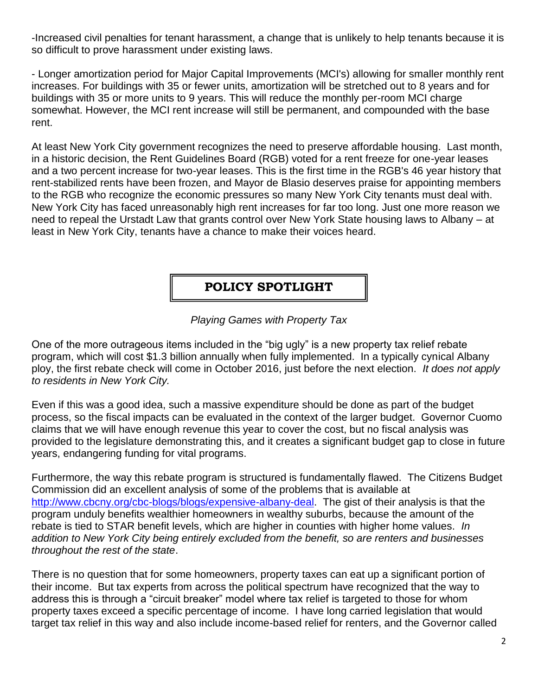-Increased civil penalties for tenant harassment, a change that is unlikely to help tenants because it is so difficult to prove harassment under existing laws.

- Longer amortization period for Major Capital Improvements (MCI's) allowing for smaller monthly rent increases. For buildings with 35 or fewer units, amortization will be stretched out to 8 years and for buildings with 35 or more units to 9 years. This will reduce the monthly per-room MCI charge somewhat. However, the MCI rent increase will still be permanent, and compounded with the base rent.

At least New York City government recognizes the need to preserve affordable housing. Last month, in a historic decision, the Rent Guidelines Board (RGB) voted for a rent freeze for one-year leases and a two percent increase for two-year leases. This is the first time in the RGB's 46 year history that rent-stabilized rents have been frozen, and Mayor de Blasio deserves praise for appointing members to the RGB who recognize the economic pressures so many New York City tenants must deal with. New York City has faced unreasonably high rent increases for far too long. Just one more reason we need to repeal the Urstadt Law that grants control over New York State housing laws to Albany – at least in New York City, tenants have a chance to make their voices heard.

**POLICY SPOTLIGHT**

## *Playing Games with Property Tax*

One of the more outrageous items included in the "big ugly" is a new property tax relief rebate program, which will cost \$1.3 billion annually when fully implemented. In a typically cynical Albany ploy, the first rebate check will come in October 2016, just before the next election. *It does not apply to residents in New York City.*

Even if this was a good idea, such a massive expenditure should be done as part of the budget process, so the fiscal impacts can be evaluated in the context of the larger budget. Governor Cuomo claims that we will have enough revenue this year to cover the cost, but no fiscal analysis was provided to the legislature demonstrating this, and it creates a significant budget gap to close in future years, endangering funding for vital programs.

Furthermore, the way this rebate program is structured is fundamentally flawed. The Citizens Budget Commission did an excellent analysis of some of the problems that is available at [http://www.cbcny.org/cbc-blogs/blogs/expensive-albany-deal.](http://www.cbcny.org/cbc-blogs/blogs/expensive-albany-deal) The gist of their analysis is that the program unduly benefits wealthier homeowners in wealthy suburbs, because the amount of the rebate is tied to STAR benefit levels, which are higher in counties with higher home values. *In addition to New York City being entirely excluded from the benefit, so are renters and businesses throughout the rest of the state*.

There is no question that for some homeowners, property taxes can eat up a significant portion of their income. But tax experts from across the political spectrum have recognized that the way to address this is through a "circuit breaker" model where tax relief is targeted to those for whom property taxes exceed a specific percentage of income. I have long carried legislation that would target tax relief in this way and also include income-based relief for renters, and the Governor called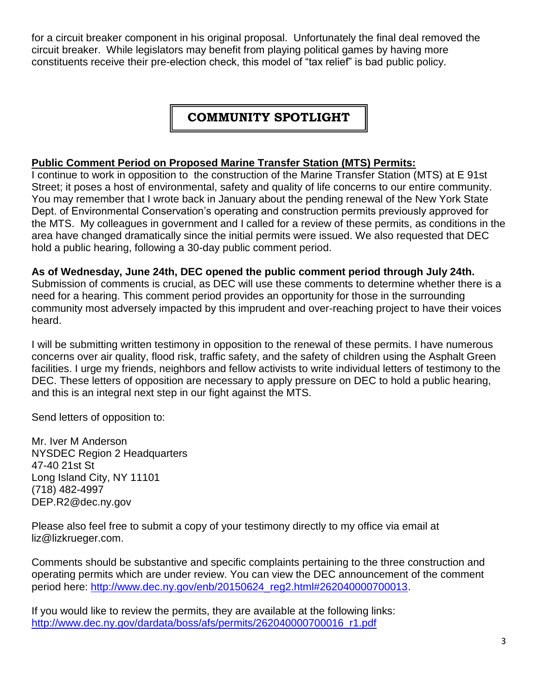for a circuit breaker component in his original proposal. Unfortunately the final deal removed the circuit breaker. While legislators may benefit from playing political games by having more constituents receive their pre-election check, this model of "tax relief" is bad public policy.

## **COMMUNITY SPOTLIGHT**

#### **Public Comment Period on Proposed Marine Transfer Station (MTS) Permits:**

I continue to work in opposition to the construction of the Marine Transfer Station (MTS) at E 91st Street; it poses a host of environmental, safety and quality of life concerns to our entire community. You may remember that I wrote back in January about the pending renewal of the New York State Dept. of Environmental Conservation's operating and construction permits previously approved for the MTS. My colleagues in government and I called for a review of these permits, as conditions in the area have changed dramatically since the initial permits were issued. We also requested that DEC hold a public hearing, following a 30-day public comment period.

**As of Wednesday, June 24th, DEC opened the public comment period through July 24th.** Submission of comments is crucial, as DEC will use these comments to determine whether there is a need for a hearing. This comment period provides an opportunity for those in the surrounding community most adversely impacted by this imprudent and over-reaching project to have their voices heard.

I will be submitting written testimony in opposition to the renewal of these permits. I have numerous concerns over air quality, flood risk, traffic safety, and the safety of children using the Asphalt Green facilities. I urge my friends, neighbors and fellow activists to write individual letters of testimony to the DEC. These letters of opposition are necessary to apply pressure on DEC to hold a public hearing, and this is an integral next step in our fight against the MTS.

Send letters of opposition to:

Mr. Iver M Anderson NYSDEC Region 2 Headquarters 47-40 21st St Long Island City, NY 11101 (718) 482-4997 DEP.R2@dec.ny.gov

Please also feel free to submit a copy of your testimony directly to my office via email at liz@lizkrueger.com.

Comments should be substantive and specific complaints pertaining to the three construction and operating permits which are under review. You can view the DEC announcement of the comment period here: [http://www.dec.ny.gov/enb/20150624\\_reg2.html#262040000700013.](http://www.dec.ny.gov/enb/20150624_reg2.html#262040000700013)

If you would like to review the permits, they are available at the following links: [http://www.dec.ny.gov/dardata/boss/afs/permits/262040000700016\\_r1.pdf](http://www.dec.ny.gov/dardata/boss/afs/permits/262040000700016_r1.pdf)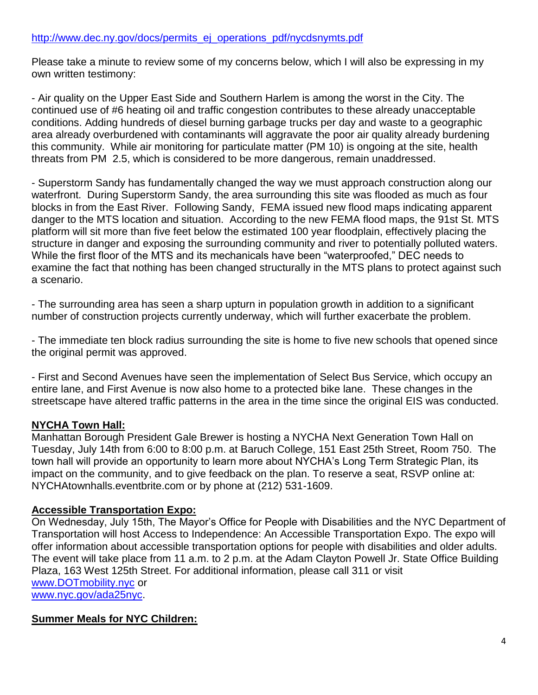#### [http://www.dec.ny.gov/docs/permits\\_ej\\_operations\\_pdf/nycdsnymts.pdf](http://www.dec.ny.gov/docs/permits_ej_operations_pdf/nycdsnymts.pdf)

Please take a minute to review some of my concerns below, which I will also be expressing in my own written testimony:

- Air quality on the Upper East Side and Southern Harlem is among the worst in the City. The continued use of #6 heating oil and traffic congestion contributes to these already unacceptable conditions. Adding hundreds of diesel burning garbage trucks per day and waste to a geographic area already overburdened with contaminants will aggravate the poor air quality already burdening this community. While air monitoring for particulate matter (PM 10) is ongoing at the site, health threats from PM 2.5, which is considered to be more dangerous, remain unaddressed.

- Superstorm Sandy has fundamentally changed the way we must approach construction along our waterfront. During Superstorm Sandy, the area surrounding this site was flooded as much as four blocks in from the East River. Following Sandy, FEMA issued new flood maps indicating apparent danger to the MTS location and situation. According to the new FEMA flood maps, the 91st St. MTS platform will sit more than five feet below the estimated 100 year floodplain, effectively placing the structure in danger and exposing the surrounding community and river to potentially polluted waters. While the first floor of the MTS and its mechanicals have been "waterproofed," DEC needs to examine the fact that nothing has been changed structurally in the MTS plans to protect against such a scenario.

- The surrounding area has seen a sharp upturn in population growth in addition to a significant number of construction projects currently underway, which will further exacerbate the problem.

- The immediate ten block radius surrounding the site is home to five new schools that opened since the original permit was approved.

- First and Second Avenues have seen the implementation of Select Bus Service, which occupy an entire lane, and First Avenue is now also home to a protected bike lane. These changes in the streetscape have altered traffic patterns in the area in the time since the original EIS was conducted.

#### **NYCHA Town Hall:**

Manhattan Borough President Gale Brewer is hosting a NYCHA Next Generation Town Hall on Tuesday, July 14th from 6:00 to 8:00 p.m. at Baruch College, 151 East 25th Street, Room 750. The town hall will provide an opportunity to learn more about NYCHA's Long Term Strategic Plan, its impact on the community, and to give feedback on the plan. To reserve a seat, RSVP online at: NYCHAtownhalls.eventbrite.com or by phone at (212) 531-1609.

#### **Accessible Transportation Expo:**

On Wednesday, July 15th, The Mayor's Office for People with Disabilities and the NYC Department of Transportation will host Access to Independence: An Accessible Transportation Expo. The expo will offer information about accessible transportation options for people with disabilities and older adults. The event will take place from 11 a.m. to 2 p.m. at the Adam Clayton Powell Jr. State Office Building Plaza, 163 West 125th Street. For additional information, please call 311 or visit [www.DOTmobility.nyc](http://www.dotmobility.nyc/) or [www.nyc.gov/ada25nyc.](http://www.nyc.gov/ada25nyc)

#### **Summer Meals for NYC Children:**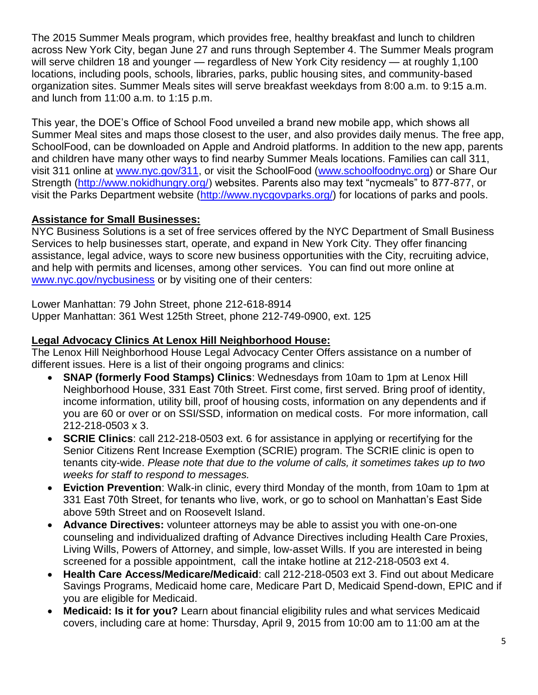The 2015 Summer Meals program, which provides free, healthy breakfast and lunch to children across New York City, began June 27 and runs through September 4. The Summer Meals program will serve children 18 and younger — regardless of New York City residency — at roughly 1,100 locations, including pools, schools, libraries, parks, public housing sites, and community-based organization sites. Summer Meals sites will serve breakfast weekdays from 8:00 a.m. to 9:15 a.m. and lunch from 11:00 a.m. to 1:15 p.m.

This year, the DOE's Office of School Food unveiled a brand new mobile app, which shows all Summer Meal sites and maps those closest to the user, and also provides daily menus. The free app, SchoolFood, can be downloaded on Apple and Android platforms. In addition to the new app, parents and children have many other ways to find nearby Summer Meals locations. Families can call 311, visit 311 online at [www.nyc.gov/311,](http://www.nyc.gov/311) or visit the SchoolFood [\(www.schoolfoodnyc.org\)](http://www.schoolfoodnyc.org/) or Share Our Strength [\(http://www.nokidhungry.org/\)](http://www.nokidhungry.org/) websites. Parents also may text "nycmeals" to 877-877, or visit the Parks Department website [\(http://www.nycgovparks.org/\)](http://www.nycgovparks.org/) for locations of parks and pools.

#### **Assistance for Small Businesses:**

NYC Business Solutions is a set of free services offered by the NYC Department of Small Business Services to help businesses start, operate, and expand in New York City. They offer financing assistance, legal advice, ways to score new business opportunities with the City, recruiting advice, and help with permits and licenses, among other services. You can find out more online at [www.nyc.gov/nycbusiness](http://www.nyc.gov/nycbusiness) or by visiting one of their centers:

Lower Manhattan: 79 John Street, phone 212-618-8914 Upper Manhattan: 361 West 125th Street, phone 212-749-0900, ext. 125

#### **Legal Advocacy Clinics At Lenox Hill Neighborhood House:**

The Lenox Hill Neighborhood House Legal Advocacy Center Offers assistance on a number of different issues. Here is a list of their ongoing programs and clinics:

- **SNAP (formerly Food Stamps) Clinics: Wednesdays from 10am to 1pm at Lenox Hill** Neighborhood House, 331 East 70th Street. First come, first served. Bring proof of identity, income information, utility bill, proof of housing costs, information on any dependents and if you are 60 or over or on SSI/SSD, information on medical costs. For more information, call 212-218-0503 x 3.
- **SCRIE Clinics**: call 212-218-0503 ext. 6 for assistance in applying or recertifying for the Senior Citizens Rent Increase Exemption (SCRIE) program. The SCRIE clinic is open to tenants city-wide. *Please note that due to the volume of calls, it sometimes takes up to two weeks for staff to respond to messages.*
- **Eviction Prevention**: Walk-in clinic, every third Monday of the month, from 10am to 1pm at 331 East 70th Street, for tenants who live, work, or go to school on Manhattan's East Side above 59th Street and on Roosevelt Island.
- **Advance Directives:** volunteer attorneys may be able to assist you with one-on-one counseling and individualized drafting of Advance Directives including Health Care Proxies, Living Wills, Powers of Attorney, and simple, low-asset Wills. If you are interested in being screened for a possible appointment, call the intake hotline at 212-218-0503 ext 4.
- **Health Care Access/Medicare/Medicaid**: call 212-218-0503 ext 3. Find out about Medicare Savings Programs, Medicaid home care, Medicare Part D, Medicaid Spend-down, EPIC and if you are eligible for Medicaid.
- **Medicaid: Is it for you?** Learn about financial eligibility rules and what services Medicaid covers, including care at home: Thursday, April 9, 2015 from 10:00 am to 11:00 am at the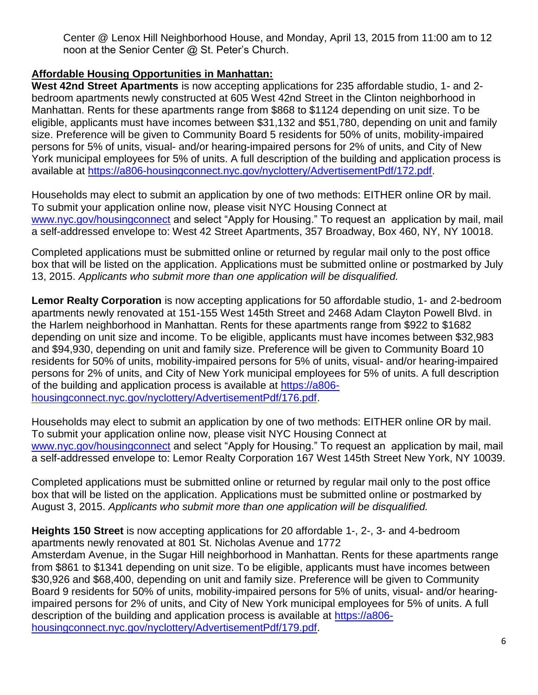Center @ Lenox Hill Neighborhood House, and Monday, April 13, 2015 from 11:00 am to 12 noon at the Senior Center @ St. Peter's Church.

### **Affordable Housing Opportunities in Manhattan:**

**West 42nd Street Apartments** is now accepting applications for 235 affordable studio, 1- and 2 bedroom apartments newly constructed at 605 West 42nd Street in the Clinton neighborhood in Manhattan. Rents for these apartments range from \$868 to \$1124 depending on unit size. To be eligible, applicants must have incomes between \$31,132 and \$51,780, depending on unit and family size. Preference will be given to Community Board 5 residents for 50% of units, mobility-impaired persons for 5% of units, visual- and/or hearing-impaired persons for 2% of units, and City of New York municipal employees for 5% of units. A full description of the building and application process is available at [https://a806-housingconnect.nyc.gov/nyclottery/AdvertisementPdf/172.pdf.](https://a806-housingconnect.nyc.gov/nyclottery/AdvertisementPdf/172.pdf)

Households may elect to submit an application by one of two methods: EITHER online OR by mail. To submit your application online now, please visit NYC Housing Connect at [www.nyc.gov/housingconnect](http://www.nyc.gov/housingconnect) and select "Apply for Housing." To request an application by mail, mail a self-addressed envelope to: West 42 Street Apartments, 357 Broadway, Box 460, NY, NY 10018.

Completed applications must be submitted online or returned by regular mail only to the post office box that will be listed on the application. Applications must be submitted online or postmarked by July 13, 2015. *Applicants who submit more than one application will be disqualified.*

**Lemor Realty Corporation** is now accepting applications for 50 affordable studio, 1- and 2-bedroom apartments newly renovated at 151-155 West 145th Street and 2468 Adam Clayton Powell Blvd. in the Harlem neighborhood in Manhattan. Rents for these apartments range from \$922 to \$1682 depending on unit size and income. To be eligible, applicants must have incomes between \$32,983 and \$94,930, depending on unit and family size. Preference will be given to Community Board 10 residents for 50% of units, mobility-impaired persons for 5% of units, visual- and/or hearing-impaired persons for 2% of units, and City of New York municipal employees for 5% of units. A full description of the building and application process is available at [https://a806](https://a806-housingconnect.nyc.gov/nyclottery/AdvertisementPdf/176.pdf) [housingconnect.nyc.gov/nyclottery/AdvertisementPdf/176.pdf.](https://a806-housingconnect.nyc.gov/nyclottery/AdvertisementPdf/176.pdf)

Households may elect to submit an application by one of two methods: EITHER online OR by mail. To submit your application online now, please visit NYC Housing Connect at [www.nyc.gov/housingconnect](http://www.nyc.gov/housingconnect) and select "Apply for Housing." To request an application by mail, mail a self-addressed envelope to: Lemor Realty Corporation 167 West 145th Street New York, NY 10039.

Completed applications must be submitted online or returned by regular mail only to the post office box that will be listed on the application. Applications must be submitted online or postmarked by August 3, 2015. *Applicants who submit more than one application will be disqualified.*

**Heights 150 Street** is now accepting applications for 20 affordable 1-, 2-, 3- and 4-bedroom apartments newly renovated at 801 St. Nicholas Avenue and 1772

Amsterdam Avenue, in the Sugar Hill neighborhood in Manhattan. Rents for these apartments range from \$861 to \$1341 depending on unit size. To be eligible, applicants must have incomes between \$30,926 and \$68,400, depending on unit and family size. Preference will be given to Community Board 9 residents for 50% of units, mobility-impaired persons for 5% of units, visual- and/or hearingimpaired persons for 2% of units, and City of New York municipal employees for 5% of units. A full description of the building and application process is available at [https://a806](https://a806-housingconnect.nyc.gov/nyclottery/AdvertisementPdf/179.pdf) [housingconnect.nyc.gov/nyclottery/AdvertisementPdf/179.pdf.](https://a806-housingconnect.nyc.gov/nyclottery/AdvertisementPdf/179.pdf)